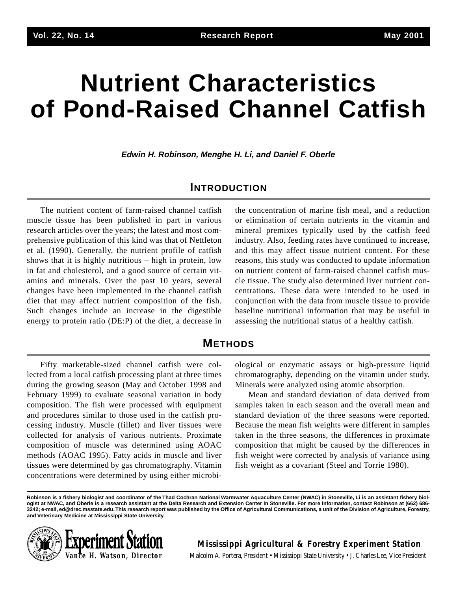# **Nutrient Characteristics of Pond-Raised Channel Catfish**

**Edwin H. Robinson, Menghe H. Li, and Daniel F. Oberle**

## **INTRODUCTION**

The nutrient content of farm-raised channel catfish muscle tissue has been published in part in various research articles over the years; the latest and most comprehensive publication of this kind was that of Nettleton et al. (1990). Generally, the nutrient profile of catfish shows that it is highly nutritious – high in protein, low in fat and cholesterol, and a good source of certain vitamins and minerals. Over the past 10 years, several changes have been implemented in the channel catfish diet that may affect nutrient composition of the fish. Such changes include an increase in the digestible energy to protein ratio (DE:P) of the diet, a decrease in

the concentration of marine fish meal, and a reduction or elimination of certain nutrients in the vitamin and mineral premixes typically used by the catfish feed industry. Also, feeding rates have continued to increase, and this may affect tissue nutrient content. For these reasons, this study was conducted to update information on nutrient content of farm-raised channel catfish muscle tissue. The study also determined liver nutrient concentrations. These data were intended to be used in conjunction with the data from muscle tissue to provide baseline nutritional information that may be useful in assessing the nutritional status of a healthy catfish.

## **METHODS**

Fifty marketable-sized channel catfish were collected from a local catfish processing plant at three times during the growing season (May and October 1998 and February 1999) to evaluate seasonal variation in body composition. The fish were processed with equipment and procedures similar to those used in the catfish processing industry. Muscle (fillet) and liver tissues were collected for analysis of various nutrients. Proximate composition of muscle was determined using AOAC methods (AOAC 1995). Fatty acids in muscle and liver tissues were determined by gas chromatography. Vitamin concentrations were determined by using either microbiological or enzymatic assays or high-pressure liquid chromatography, depending on the vitamin under study. Minerals were analyzed using atomic absorption.

Mean and standard deviation of data derived from samples taken in each season and the overall mean and standard deviation of the three seasons were reported. Because the mean fish weights were different in samples taken in the three seasons, the differences in proximate composition that might be caused by the differences in fish weight were corrected by analysis of variance using fish weight as a covariant (Steel and Torrie 1980).

**Robinson is a fishery biologist and coordinator of the Thad Cochran National Warmwater Aquaculture Center (NWAC) in Stoneville, Li is an assistant fishery biologist at NWAC, and Oberle is a research assistant at the Delta Research and Extension Center in Stoneville. For more information, contact Robinson at (662) 686- 3242; e-mail, ed@drec.msstate.edu.This research report was published by the Office of Agricultural Communications, a unit of the Division of Agriculture, Forestry, and Veterinary Medicine at Mississippi State University.**



**Mississippi Agricultural & Forestry Experiment Station**

Malcolm A. Portera, President • Mississippi State University • J. Charles Lee, Vice President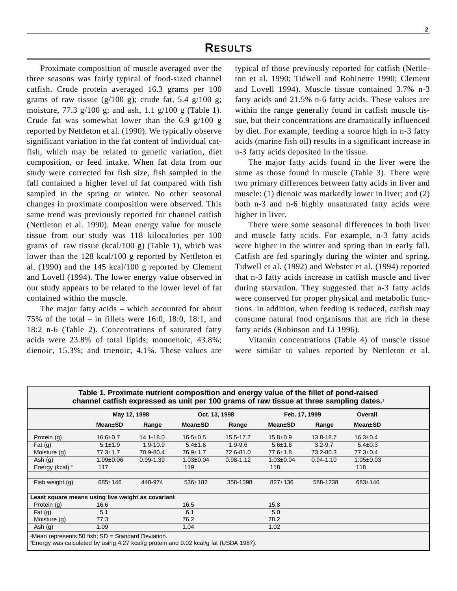Proximate composition of muscle averaged over the three seasons was fairly typical of food-sized channel catfish. Crude protein averaged 16.3 grams per 100 grams of raw tissue  $(g/100 g)$ ; crude fat, 5.4 g/100 g; moisture, 77.3 g/100 g; and ash, 1.1 g/100 g (Table 1). Crude fat was somewhat lower than the 6.9 g/100 g reported by Nettleton et al. (1990). We typically observe significant variation in the fat content of individual catfish, which may be related to genetic variation, diet composition, or feed intake. When fat data from our study were corrected for fish size, fish sampled in the fall contained a higher level of fat compared with fish sampled in the spring or winter. No other seasonal changes in proximate composition were observed. This same trend was previously reported for channel catfish (Nettleton et al. 1990). Mean energy value for muscle tissue from our study was 118 kilocalories per 100 grams of raw tissue (kcal/100 g) (Table 1), which was lower than the 128 kcal/100 g reported by Nettleton et al. (1990) and the 145 kcal/100 g reported by Clement and Lovell (1994). The lower energy value observed in our study appears to be related to the lower level of fat contained within the muscle.

The major fatty acids – which accounted for about 75% of the total – in fillets were 16:0, 18:0, 18:1, and 18:2 n-6 (Table 2). Concentrations of saturated fatty acids were 23.8% of total lipids; monoenoic, 43.8%; dienoic, 15.3%; and trienoic, 4.1%. These values are

typical of those previously reported for catfish (Nettleton et al. 1990; Tidwell and Robinette 1990; Clement and Lovell 1994). Muscle tissue contained 3.7% n-3 fatty acids and 21.5% n-6 fatty acids. These values are within the range generally found in catfish muscle tissue, but their concentrations are dramatically influenced by diet. For example, feeding a source high in n-3 fatty acids (marine fish oil) results in a significant increase in n-3 fatty acids deposited in the tissue.

The major fatty acids found in the liver were the same as those found in muscle (Table 3). There were two primary differences between fatty acids in liver and muscle: (1) dienoic was markedly lower in liver; and (2) both n-3 and n-6 highly unsaturated fatty acids were higher in liver.

There were some seasonal differences in both liver and muscle fatty acids. For example, n-3 fatty acids were higher in the winter and spring than in early fall. Catfish are fed sparingly during the winter and spring. Tidwell et al. (1992) and Webster et al. (1994) reported that n-3 fatty acids increase in catfish muscle and liver during starvation. They suggested that n-3 fatty acids were conserved for proper physical and metabolic functions. In addition, when feeding is reduced, catfish may consume natural food organisms that are rich in these fatty acids (Robinson and Li 1996).

Vitamin concentrations (Table 4) of muscle tissue were similar to values reported by Nettleton et al.

| Table 1. Proximate nutrient composition and energy value of the fillet of pond-raised<br>channel catfish expressed as unit per 100 grams of raw tissue at three sampling dates. <sup>1</sup> |                 |               |                 |               |                 |               |                 |  |
|----------------------------------------------------------------------------------------------------------------------------------------------------------------------------------------------|-----------------|---------------|-----------------|---------------|-----------------|---------------|-----------------|--|
|                                                                                                                                                                                              | May 12, 1998    |               |                 | Oct. 13, 1998 | Feb. 17, 1999   |               | Overall         |  |
|                                                                                                                                                                                              | <b>Mean</b> ±SD | Range         | <b>Mean</b> ±SD | Range         | <b>Mean</b> ±SD | Range         | <b>Mean</b> ±SD |  |
| Protein (g)                                                                                                                                                                                  | $16.6 \pm 0.7$  | 14.1-18.0     | $16.5 \pm 0.5$  | 15.5-17.7     | $15.8 \pm 0.9$  | 13.8-18.7     | $16.3 \pm 0.4$  |  |
| Fat $(g)$                                                                                                                                                                                    | $5.1 \pm 1.9$   | $1.9 - 10.9$  | $5.4 \pm 1.8$   | $1.9 - 9.6$   | $5.6 \pm 1.6$   | $3.2 - 9.7$   | $5.4 \pm 0.3$   |  |
| Moisture (g)                                                                                                                                                                                 | $77.3 \pm 1.7$  | 70.9-80.4     | $76.9 \pm 1.7$  | 72.6-81.0     | $77.6 \pm 1.8$  | 73.2-80.3     | $77.3 \pm 0.4$  |  |
| Ash $(g)$                                                                                                                                                                                    | $1.09 \pm 0.06$ | $0.99 - 1.39$ | $1.03 \pm 0.04$ | $0.98 - 1.12$ | $1.03 \pm 0.04$ | $0.94 - 1.10$ | $1.05 \pm 0.03$ |  |
| Energy (kcal) <sup>2</sup>                                                                                                                                                                   | 117             |               | 119             |               | 118             |               | 118             |  |
|                                                                                                                                                                                              |                 |               |                 |               |                 |               |                 |  |
| Fish weight (g)                                                                                                                                                                              | $685 \pm 146$   | 440-974       | 536±182         | 358-1098      | $827 \pm 136$   | 588-1238      | 683±146         |  |
|                                                                                                                                                                                              |                 |               |                 |               |                 |               |                 |  |
| Least square means using live weight as covariant                                                                                                                                            |                 |               |                 |               |                 |               |                 |  |
| Protein (g)                                                                                                                                                                                  | 16.6            |               | 16.5            |               | 15.8            |               |                 |  |
| Fat $(q)$                                                                                                                                                                                    | 5.1             |               | 6.1             |               | 5.0             |               |                 |  |
| Moisture (g)                                                                                                                                                                                 | 77.3            |               | 76.2            |               | 78.2            |               |                 |  |
| Ash $(g)$                                                                                                                                                                                    | 1.09            |               | 1.04            |               | 1.02            |               |                 |  |
| $M$ ean represents 50 fish; SD = Standard Deviation.<br><sup>2</sup> Energy was calculated by using 4.27 kcal/g protein and 9.02 kcal/g fat (USDA 1987).                                     |                 |               |                 |               |                 |               |                 |  |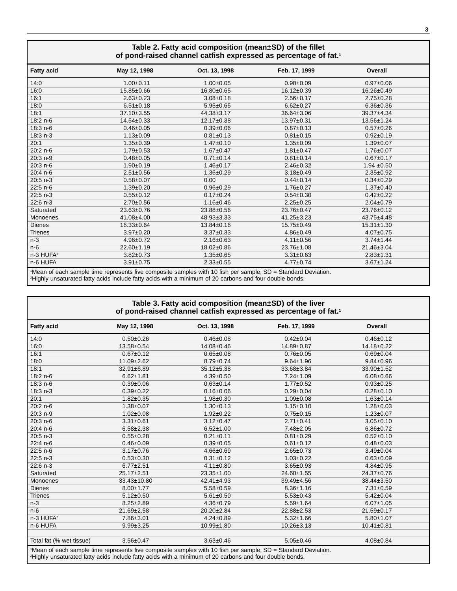| Table 2. Fatty acid composition (mean±SD) of the fillet<br>of pond-raised channel catfish expressed as percentage of fat. <sup>1</sup> |                                                                                                               |                  |                  |                  |  |
|----------------------------------------------------------------------------------------------------------------------------------------|---------------------------------------------------------------------------------------------------------------|------------------|------------------|------------------|--|
| <b>Fatty acid</b>                                                                                                                      | May 12, 1998                                                                                                  | Oct. 13, 1998    | Feb. 17, 1999    | Overall          |  |
| 14:0                                                                                                                                   | $1.00+0.11$                                                                                                   | $1.00 \pm 0.05$  | $0.90 + 0.09$    | $0.97 + 0.06$    |  |
| 16:0                                                                                                                                   | 15.85±0.66                                                                                                    | $16.80 \pm 0.65$ | $16.12 \pm 0.39$ | 16.26±0.49       |  |
| 16:1                                                                                                                                   | $2.63 \pm 0.23$                                                                                               | $3.08 + 0.18$    | $2.56 \pm 0.17$  | $2.75 \pm 0.28$  |  |
| 18:0                                                                                                                                   | $6.51 \pm 0.18$                                                                                               | $5.95 \pm 0.65$  | $6.62 \pm 0.27$  | $6.36 \pm 0.36$  |  |
| 18:1                                                                                                                                   | 37.10±3.55                                                                                                    | 44.38±3.17       | $36.64 \pm 3.06$ | 39.37±4.34       |  |
| 18:2 n-6                                                                                                                               | $14.54 \pm 0.33$                                                                                              | $12.17 \pm 0.38$ | 13.97±0.31       | 13.56±1.24       |  |
| $18:3n-6$                                                                                                                              | $0.46 \pm 0.05$                                                                                               | $0.39 + 0.06$    | $0.87 + 0.13$    | $0.57 + 0.26$    |  |
| 18:3 n-3                                                                                                                               | $1.13 \pm 0.09$                                                                                               | $0.81 \pm 0.13$  | $0.81 \pm 0.15$  | $0.92 \pm 0.19$  |  |
| 20:1                                                                                                                                   | $1.35 + 0.39$                                                                                                 | $1.47 \pm 0.10$  | $1.35 + 0.09$    | $1.39 + 0.07$    |  |
| $20:2 n-6$                                                                                                                             | $1.79 \pm 0.53$                                                                                               | $1.67 + 0.47$    | $1.81 \pm 0.47$  | $1.76 \pm 0.07$  |  |
| 20:3 n-9                                                                                                                               | $0.48 \pm 0.05$                                                                                               | $0.71 \pm 0.14$  | $0.81 \pm 0.14$  | $0.67 + 0.17$    |  |
| $20:3 n-6$                                                                                                                             | $1.90+0.19$                                                                                                   | $1.46 \pm 0.17$  | $2.46 \pm 0.32$  | $1.94 \pm 0.50$  |  |
| 20:4 n-6                                                                                                                               | $2.51 \pm 0.56$                                                                                               | $1.36 \pm 0.29$  | $3.18 \pm 0.49$  | $2.35 \pm 0.92$  |  |
| $20:5 n-3$                                                                                                                             | $0.58 + 0.07$                                                                                                 | 0.00             | $0.44 \pm 0.14$  | $0.34 \pm 0.29$  |  |
| 22:5 n-6                                                                                                                               | $1.39 \pm 0.20$                                                                                               | $0.96 + 0.29$    | $1.76 \pm 0.27$  | $1.37 \pm 0.40$  |  |
| $22:5 n-3$                                                                                                                             | $0.55 \pm 0.12$                                                                                               | $0.17+0.24$      | $0.54 \pm 0.30$  | $0.42 \pm 0.22$  |  |
| 22:6 n-3                                                                                                                               | $2.70 \pm 0.56$                                                                                               | $1.16 \pm 0.46$  | $2.25 \pm 0.25$  | $2.04 \pm 0.79$  |  |
| Saturated                                                                                                                              | 23.63±0.76                                                                                                    | 23.88±0.56       | 23.76±0.47       | 23.76±0.12       |  |
| Monoenes                                                                                                                               | 41.08±4.00                                                                                                    | 48.93±3.33       | 41.25±3.23       | 43.75±4.48       |  |
| <b>Dienes</b>                                                                                                                          | 16.33±0.64                                                                                                    | 13.84±0.16       | 15.75±0.49       | $15.31 \pm 1.30$ |  |
| <b>Trienes</b>                                                                                                                         | $3.97 \pm 0.20$                                                                                               | $3.37 \pm 0.33$  | $4.86 \pm 0.49$  | $4.07 \pm 0.75$  |  |
| $n-3$                                                                                                                                  | $4.96 \pm 0.72$                                                                                               | $2.16 \pm 0.63$  | $4.11 \pm 0.56$  | $3.74 \pm 1.44$  |  |
| $n-6$                                                                                                                                  | 22.60±1.19                                                                                                    | 18.02±0.86       | 23.76±1.08       | 21.46±3.04       |  |
| n-3 HUFA <sup>2</sup>                                                                                                                  | $3.82 \pm 0.73$                                                                                               | $1.35 \pm 0.65$  | $3.31 \pm 0.63$  | $2.83 \pm 1.31$  |  |
| n-6 HUFA                                                                                                                               | $3.91 \pm 0.75$                                                                                               | $2.33 \pm 0.55$  | $4.77 \pm 0.74$  | $3.67 \pm 1.24$  |  |
|                                                                                                                                        | 'Mean of each sample time represents five composite samples with 10 fish per sample; SD = Standard Deviation. |                  |                  |                  |  |

'Mean of each sample time represents five composite samples with 10 fish per sample; SD = Standard Deviation.<br>'Highly unsaturated fatty acids include fatty acids with a minimum of 20 carbons and four double bonds.

#### **Table 3. Fatty acid composition (mean±SD) of the liver of pond-raised channel catfish expressed as percentage of fat.1**

| <b>Fatty acid</b>                                                                                                                                                                                                                    | May 12, 1998     | Oct. 13, 1998    | Feb. 17, 1999    | Overall          |  |
|--------------------------------------------------------------------------------------------------------------------------------------------------------------------------------------------------------------------------------------|------------------|------------------|------------------|------------------|--|
| 14:0                                                                                                                                                                                                                                 | $0.50 \pm 0.26$  | $0.46 \pm 0.08$  | $0.42 \pm 0.04$  | $0.46 \pm 0.12$  |  |
| 16:0                                                                                                                                                                                                                                 | 13.58±0.54       | 14.08±0.46       | 14.89±0.87       | 14.18±0.22       |  |
| 16:1                                                                                                                                                                                                                                 | $0.67 \pm 0.12$  | $0.65 \pm 0.08$  | $0.76 \pm 0.05$  | $0.69 + 0.04$    |  |
| 18:0                                                                                                                                                                                                                                 | $11.09 \pm 2.62$ | $8.79 \pm 0.74$  | $9.64 \pm 1.96$  | $9.84 \pm 0.96$  |  |
| 18:1                                                                                                                                                                                                                                 | 32.91±6.89       | 35.12±5.38       | 33.68±3.84       | $33.90 \pm 1.52$ |  |
| 18:2 n-6                                                                                                                                                                                                                             | $6.62 \pm 1.81$  | $4.39 \pm 0.50$  | $7.24 \pm 1.09$  | $6.08 \pm 0.66$  |  |
| 18:3 n-6                                                                                                                                                                                                                             | $0.39 + 0.06$    | $0.63 + 0.14$    | $1.77 + 0.52$    | $0.93 + 0.25$    |  |
| $18:3 n-3$                                                                                                                                                                                                                           | $0.39 \pm 0.22$  | $0.16 \pm 0.06$  | $0.29 \pm 0.04$  | $0.28 + 0.10$    |  |
| 20:1                                                                                                                                                                                                                                 | $1.82 \pm 0.35$  | $1.98 \pm 0.30$  | $1.09 \pm 0.08$  | $1.63 \pm 0.14$  |  |
| $20:2 n-6$                                                                                                                                                                                                                           | $1.38 \pm 0.07$  | $1.30+0.13$      | $1.15 \pm 0.10$  | $1.28 \pm 0.03$  |  |
| 20:3 n-9                                                                                                                                                                                                                             | $1.02 \pm 0.08$  | $1.92 \pm 0.22$  | $0.75 \pm 0.15$  | $1.23 \pm 0.07$  |  |
| $20:3 n-6$                                                                                                                                                                                                                           | $3.31 \pm 0.61$  | $3.12 \pm 0.47$  | $2.71 \pm 0.41$  | $3.05 \pm 0.10$  |  |
| 20:4 n-6                                                                                                                                                                                                                             | $6.58 \pm 2.38$  | $6.52 \pm 1.00$  | $7.48 \pm 2.05$  | $6.86 \pm 0.72$  |  |
| $20:5 n-3$                                                                                                                                                                                                                           | $0.55 \pm 0.28$  | $0.21 \pm 0.11$  | $0.81 \pm 0.29$  | $0.52 \pm 0.10$  |  |
| $22:4 n-6$                                                                                                                                                                                                                           | $0.46 \pm 0.09$  | $0.39 + 0.05$    | $0.61 \pm 0.12$  | $0.48 \pm 0.03$  |  |
| $22:5 n-6$                                                                                                                                                                                                                           | $3.17 \pm 0.76$  | $4.66 \pm 0.69$  | $2.65 \pm 0.73$  | $3.49 \pm 0.04$  |  |
| 22:5 n-3                                                                                                                                                                                                                             | $0.53 \pm 0.30$  | $0.31 \pm 0.12$  | $1.03 \pm 0.22$  | $0.63 + 0.09$    |  |
| $22:6 n-3$                                                                                                                                                                                                                           | $6.77 \pm 2.51$  | $4.11 \pm 0.80$  | $3.65 \pm 0.93$  | $4.84 \pm 0.95$  |  |
| Saturated                                                                                                                                                                                                                            | $25.17 \pm 2.51$ | 23.35±1.00       | 24.60±1.55       | 24.37±0.76       |  |
| Monoenes                                                                                                                                                                                                                             | 33.43±10.80      | 42.41±4.93       | 39.49±4.56       | 38.44±3.50       |  |
| <b>Dienes</b>                                                                                                                                                                                                                        | $8.00 + 1.77$    | $5.58 \pm 0.59$  | $8.36 \pm 1.16$  | $7.31 \pm 0.59$  |  |
| <b>Trienes</b>                                                                                                                                                                                                                       | $5.12 \pm 0.50$  | $5.61 \pm 0.50$  | $5.53 \pm 0.43$  | $5.42 \pm 0.04$  |  |
| $n-3$                                                                                                                                                                                                                                | $8.25 \pm 2.89$  | $4.36 \pm 0.79$  | $5.59 + 1.64$    | $6.07 \pm 1.05$  |  |
| $n-6$                                                                                                                                                                                                                                | 21.69±2.58       | 20.20±2.84       | 22.88±2.53       | $21.59 \pm 0.17$ |  |
| n-3 HUFA <sup>2</sup>                                                                                                                                                                                                                | $7.86 \pm 3.01$  | $4.24 \pm 0.89$  | $5.32 \pm 1.66$  | $5.80 + 1.07$    |  |
| n-6 HUFA                                                                                                                                                                                                                             | $9.99 \pm 3.25$  | $10.99 \pm 1.80$ | $10.26 \pm 3.13$ | $10.41 \pm 0.81$ |  |
| Total fat (% wet tissue)                                                                                                                                                                                                             | $3.56 \pm 0.47$  | $3.63 \pm 0.46$  | $5.05 \pm 0.46$  | $4.08 \pm 0.84$  |  |
| 'Mean of each sample time represents five composite samples with 10 fish per sample; SD = Standard Deviation.<br><sup>2</sup> Highly unsaturated fatty acids include fatty acids with a minimum of 20 carbons and four double bonds. |                  |                  |                  |                  |  |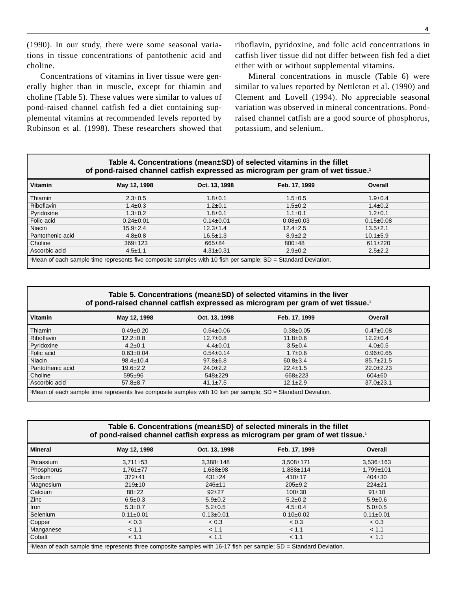(1990). In our study, there were some seasonal variations in tissue concentrations of pantothenic acid and choline.

Concentrations of vitamins in liver tissue were generally higher than in muscle, except for thiamin and choline (Table 5). These values were similar to values of pond-raised channel catfish fed a diet containing supplemental vitamins at recommended levels reported by Robinson et al. (1998). These researchers showed that riboflavin, pyridoxine, and folic acid concentrations in catfish liver tissue did not differ between fish fed a diet either with or without supplemental vitamins.

Mineral concentrations in muscle (Table 6) were similar to values reported by Nettleton et al. (1990) and Clement and Lovell (1994). No appreciable seasonal variation was observed in mineral concentrations. Pondraised channel catfish are a good source of phosphorus, potassium, and selenium.

#### **Table 4. Concentrations (mean±SD) of selected vitamins in the fillet of pond-raised channel catfish expressed as microgram per gram of wet tissue.1**

| <b>Vitamin</b>                                                                                               | May 12, 1998    | Oct. 13, 1998   | Feb. 17, 1999   | Overall         |  |
|--------------------------------------------------------------------------------------------------------------|-----------------|-----------------|-----------------|-----------------|--|
| Thiamin                                                                                                      | $2.3 \pm 0.5$   | $1.8 \pm 0.1$   | $1.5 \pm 0.5$   | $1.9 \pm 0.4$   |  |
| Riboflavin                                                                                                   | $1.4 \pm 0.3$   | $1.2 \pm 0.1$   | $1.5 \pm 0.2$   | $1.4 \pm 0.2$   |  |
| Pyridoxine                                                                                                   | $1.3 \pm 0.2$   | $1.8 \pm 0.1$   | $1.1 \pm 0.1$   | $1.2 \pm 0.1$   |  |
| Folic acid                                                                                                   | $0.24 \pm 0.01$ | $0.14 \pm 0.01$ | $0.08 \pm 0.03$ | $0.15 \pm 0.08$ |  |
| Niacin                                                                                                       | $15.9 \pm 2.4$  | $12.3 \pm 1.4$  | $12.4 \pm 2.5$  | $13.5 \pm 2.1$  |  |
| Pantothenic acid                                                                                             | $4.8 \pm 0.8$   | $16.5 \pm 1.3$  | $8.9 \pm 2.2$   | $10.1 \pm 5.9$  |  |
| Choline                                                                                                      | $369 \pm 123$   | 665±84          | $800+48$        | $611\pm220$     |  |
| Ascorbic acid                                                                                                | $4.5 \pm 1.1$   | $4.31 \pm 0.31$ | $2.9 \pm 0.2$   | $2.5 \pm 2.2$   |  |
| Wean of each sample time represents five composite samples with 10 fish per sample; SD = Standard Deviation. |                 |                 |                 |                 |  |

#### **Table 5. Concentrations (mean±SD) of selected vitamins in the liver of pond-raised channel catfish expressed as microgram per gram of wet tissue.1**

| <b>Vitamin</b>                                                                                                | May 12, 1998    | Oct. 13, 1998   | Feb. 17, 1999   | Overall         |  |
|---------------------------------------------------------------------------------------------------------------|-----------------|-----------------|-----------------|-----------------|--|
| Thiamin                                                                                                       | $0.49 \pm 0.20$ | $0.54 \pm 0.06$ | $0.38 \pm 0.05$ | $0.47 \pm 0.08$ |  |
| <b>Riboflavin</b>                                                                                             | $12.2 \pm 0.8$  | $12.7 \pm 0.8$  | $11.8 \pm 0.6$  | $12.2 \pm 0.4$  |  |
| Pyridoxine                                                                                                    | $4.2 \pm 0.1$   | $4.4 \pm 0.01$  | $3.5 \pm 0.4$   | $4.0 \pm 0.5$   |  |
| Folic acid                                                                                                    | $0.63 \pm 0.04$ | $0.54 \pm 0.14$ | $1.7 \pm 0.6$   | $0.96 \pm 0.65$ |  |
| Niacin                                                                                                        | $98.4 \pm 10.4$ | $97.8 \pm 6.8$  | $60.8 \pm 3.4$  | $85.7 \pm 21.5$ |  |
| Pantothenic acid                                                                                              | $19.6 \pm 2.2$  | $24.0 \pm 2.2$  | $22.4 \pm 1.5$  | $22.0 \pm 2.23$ |  |
| Choline                                                                                                       | $595 \pm 96$    | 548±229         | 668±223         | $604 \pm 60$    |  |
| Ascorbic acid                                                                                                 | $57.8 \pm 8.7$  | $41.1 \pm 7.5$  | $12.1 \pm 2.9$  | $37.0 \pm 23.1$ |  |
| 'Mean of each sample time represents five composite samples with 10 fish per sample; SD = Standard Deviation. |                 |                 |                 |                 |  |

#### **Table 6. Concentrations (mean±SD) of selected minerals in the fillet of pond-raised channel catfish express as microgram per gram of wet tissue.1**

| <b>Mineral</b>                                                                                                    | May 12, 1998    | Oct. 13, 1998   | Feb. 17, 1999   | Overall         |  |
|-------------------------------------------------------------------------------------------------------------------|-----------------|-----------------|-----------------|-----------------|--|
| Potassium                                                                                                         | $3,711 \pm 53$  | $3,388 \pm 148$ | $3,508 \pm 171$ | $3.536 \pm 163$ |  |
| Phosphorus                                                                                                        | $1,761 \pm 77$  | 1,688±98        | 1,888±114       | $1.799 + 101$   |  |
| Sodium                                                                                                            | $372+41$        | $431 \pm 24$    | $410+17$        | $404 \pm 30$    |  |
| Magnesium                                                                                                         | 219±10          | $246 + 11$      | $205 \pm 9.2$   | $224 \pm 21$    |  |
| Calcium                                                                                                           | $80+22$         | $92+27$         | $100+30$        | 91±10           |  |
| Zinc                                                                                                              | $6.5 \pm 0.3$   | $5.9 \pm 0.2$   | $5.2 \pm 0.2$   | $5.9 \pm 0.6$   |  |
| Iron                                                                                                              | $5.3 \pm 0.7$   | $5.2 \pm 0.5$   | $4.5 \pm 0.4$   | $5.0 \pm 0.5$   |  |
| Selenium                                                                                                          | $0.11 \pm 0.01$ | $0.13 \pm 0.01$ | $0.10+0.02$     | $0.11 \pm 0.01$ |  |
| Copper                                                                                                            | < 0.3           | < 0.3           | < 0.3           | < 0.3           |  |
| Manganese                                                                                                         | < 1.1           | < 1.1           | < 1.1           | < 1.1           |  |
| Cobalt                                                                                                            | < 1.1           | < 1.1           | < 1.1           | < 1.1           |  |
| 1Mean of each sample time represents three composite samples with 16-17 fish per sample; SD = Standard Deviation. |                 |                 |                 |                 |  |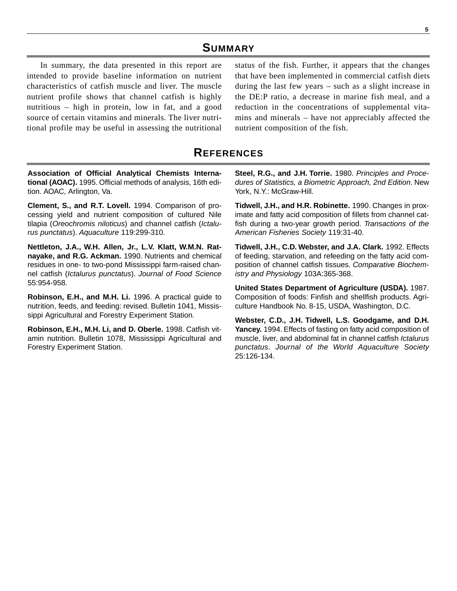### **SUMMARY**

In summary, the data presented in this report are intended to provide baseline information on nutrient characteristics of catfish muscle and liver. The muscle nutrient profile shows that channel catfish is highly nutritious – high in protein, low in fat, and a good source of certain vitamins and minerals. The liver nutritional profile may be useful in assessing the nutritional

status of the fish. Further, it appears that the changes that have been implemented in commercial catfish diets during the last few years – such as a slight increase in the DE:P ratio, a decrease in marine fish meal, and a reduction in the concentrations of supplemental vitamins and minerals – have not appreciably affected the nutrient composition of the fish.

## **REFERENCES**

**Association of Official Analytical Chemists International (AOAC).** 1995. Official methods of analysis, 16th edition. AOAC, Arlington, Va.

**Clement, S., and R.T. Lovell.** 1994. Comparison of processing yield and nutrient composition of cultured Nile tilapia (Oreochromis niloticus) and channel catfish (Ictalurus punctatus). Aquaculture 119:299-310.

**Nettleton, J.A., W.H. Allen, Jr., L.V. Klatt, W.M.N. Ratnayake, and R.G. Ackman.** 1990. Nutrients and chemical residues in one- to two-pond Mississippi farm-raised channel catfish (Ictalurus punctatus). Journal of Food Science 55:954-958.

**Robinson, E.H., and M.H. Li.** 1996. A practical guide to nutrition, feeds, and feeding: revised. Bulletin 1041, Mississippi Agricultural and Forestry Experiment Station.

**Robinson, E.H., M.H. Li, and D. Oberle.** 1998. Catfish vitamin nutrition. Bulletin 1078, Mississippi Agricultural and Forestry Experiment Station.

**Steel, R.G., and J.H. Torrie.** 1980. Principles and Procedures of Statistics, a Biometric Approach, 2nd Edition. New York, N.Y.: McGraw-Hill.

**Tidwell, J.H., and H.R. Robinette.** 1990. Changes in proximate and fatty acid composition of fillets from channel catfish during a two-year growth period. Transactions of the American Fisheries Society 119:31-40.

**Tidwell, J.H., C.D. Webster, and J.A. Clark.** 1992. Effects of feeding, starvation, and refeeding on the fatty acid composition of channel catfish tissues. Comparative Biochemistry and Physiology 103A:365-368.

**United States Department of Agriculture (USDA).** 1987. Composition of foods: Finfish and shellfish products. Agriculture Handbook No. 8-15, USDA, Washington, D.C.

**Webster, C.D., J.H. Tidwell, L.S. Goodgame, and D.H. Yancey.** 1994. Effects of fasting on fatty acid composition of muscle, liver, and abdominal fat in channel catfish Ictalurus punctatus. Journal of the World Aquaculture Society 25:126-134.